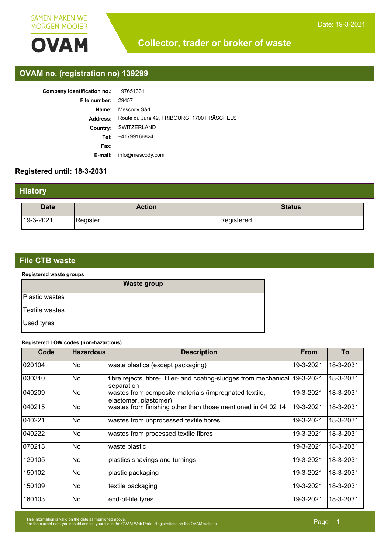

## **Collector, trader or broker of waste**

## **OVAM no. (registration no) 139299**

| <b>Company identification no.: 197651331</b>                  |
|---------------------------------------------------------------|
| File number:<br>29457                                         |
| Mescody Sàrl<br>Name:                                         |
| Route du Jura 49, FRIBOURG, 1700 FRÄSCHELS<br><b>Address:</b> |
| SWITZERLAND<br>Country:                                       |
| +41799166824<br>Tel:                                          |
|                                                               |
| info@mescody.com                                              |
| E-mail:                                                       |

### **Registered until: 18-3-2031**

| <b>History</b> |               |               |  |  |
|----------------|---------------|---------------|--|--|
| <b>Date</b>    | <b>Action</b> | <b>Status</b> |  |  |
| 19-3-2021      | Register      | Registered    |  |  |

### **File CTB waste**

#### **Registered waste groups**

| <b>Waste group</b> |
|--------------------|
| Plastic wastes     |
| Textile wastes     |
| Used tyres         |

#### **Registered LOW codes (non-hazardous)**

| Code    | <b>Hazardous</b> | <b>Description</b>                                                                         | <b>From</b> | To        |
|---------|------------------|--------------------------------------------------------------------------------------------|-------------|-----------|
| 1020104 | N <sub>o</sub>   | waste plastics (except packaging)                                                          | 19-3-2021   | 18-3-2031 |
| 030310  | No.              | fibre rejects, fibre-, filler- and coating-sludges from mechanical 19-3-2021<br>separation |             | 18-3-2031 |
| 1040209 | No.              | wastes from composite materials (impregnated textile,<br>elastomer, plastomer)             | 19-3-2021   | 18-3-2031 |
| 1040215 | No.              | wastes from finishing other than those mentioned in 04 02 14                               | 19-3-2021   | 18-3-2031 |
| 1040221 | N <sub>o</sub>   | wastes from unprocessed textile fibres                                                     | 19-3-2021   | 18-3-2031 |
| 1040222 | N <sub>o</sub>   | wastes from processed textile fibres                                                       | 19-3-2021   | 18-3-2031 |
| 1070213 | No.              | waste plastic                                                                              | 19-3-2021   | 18-3-2031 |
| 120105  | No.              | plastics shavings and turnings                                                             | 19-3-2021   | 18-3-2031 |
| 150102  | <b>No</b>        | plastic packaging                                                                          | 19-3-2021   | 18-3-2031 |
| 150109  | No.              | textile packaging                                                                          | 19-3-2021   | 18-3-2031 |
| 160103  | No.              | end-of-life tyres                                                                          | 19-3-2021   | 18-3-2031 |